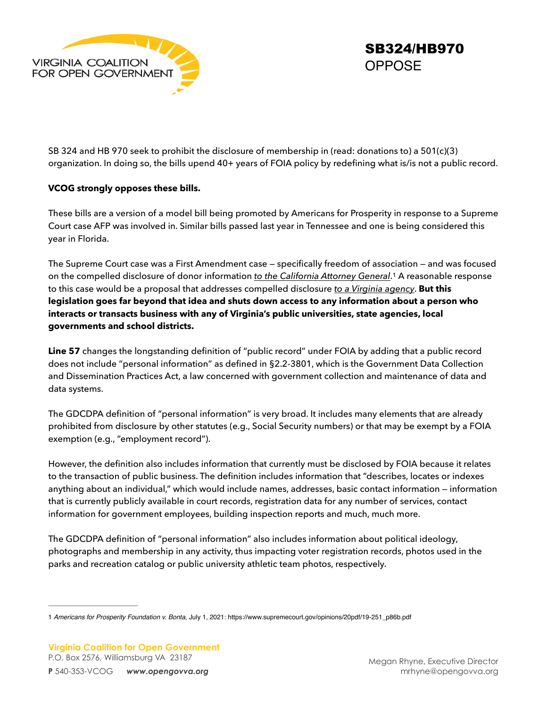

<span id="page-0-1"></span>SB324/HB970 **OPPOSE** 

SB 324 and HB 970 seek to prohibit the disclosure of membership in (read: donations to) a 501(c)(3) organization. In doing so, the bills upend 40+ years of FOIA policy by redefining what is/is not a public record.

## **VCOG strongly opposes these bills.**

These bills are a version of a model bill being promoted by Americans for Prosperity in response to a Supreme Court case AFP was involved in. Similar bills passed last year in Tennessee and one is being considered this year in Florida.

The Supreme Court case was a First Amendment case — specifically freedom of association — and was focused onthe compelled disclosure of donor information *to the California Attorney General*.<sup>[1](#page-0-0)</sup> A reasonable response to this case would be a proposal that addresses compelled disclosure *to a Virginia agency*. **But this legislation goes far beyond that idea and shuts down access to any information about a person who interacts or transacts business with any of Virginia's public universities, state agencies, local governments and school districts.**

**Line 57** changes the longstanding definition of "public record" under FOIA by adding that a public record does not include "personal information" as defined in §2.2-3801, which is the Government Data Collection and Dissemination Practices Act, a law concerned with government collection and maintenance of data and data systems.

The GDCDPA definition of "personal information" is very broad. It includes many elements that are already prohibited from disclosure by other statutes (e.g., Social Security numbers) or that may be exempt by a FOIA exemption (e.g., "employment record").

However, the definition also includes information that currently must be disclosed by FOIA because it relates to the transaction of public business. The definition includes information that "describes, locates or indexes anything about an individual," which would include names, addresses, basic contact information — information that is currently publicly available in court records, registration data for any number of services, contact information for government employees, building inspection reports and much, much more.

The GDCDPA definition of "personal information" also includes information about political ideology, photographs and membership in any activity, thus impacting voter registration records, photos used in the parks and recreation catalog or public university athletic team photos, respectively.

<span id="page-0-0"></span>[<sup>1</sup>](#page-0-1) *Americans for Prosperity Foundation v. Bonta*, July 1, 2021: https://www.supremecourt.gov/opinions/20pdf/19-251\_p86b.pdf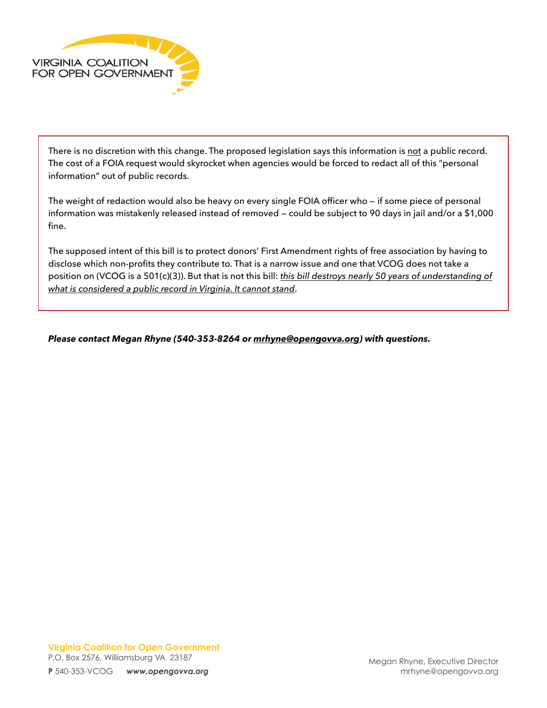

There is no discretion with this change. The proposed legislation says this information is not a public record. The cost of a FOIA request would skyrocket when agencies would be forced to redact all of this "personal information" out of public records.

The weight of redaction would also be heavy on every single FOIA officer who — if some piece of personal information was mistakenly released instead of removed — could be subject to 90 days in jail and/or a \$1,000 fine.

The supposed intent of this bill is to protect donors' First Amendment rights of free association by having to disclose which non-profits they contribute to. That is a narrow issue and one that VCOG does not take a position on (VCOG is a 501(c)(3)). But that is not this bill: *this bill destroys nearly 50 years of understanding of what is considered a public record in Virginia. It cannot stand*.

*Please contact Megan Rhyne (540-353-8264 or [mrhyne@opengovva.org](mailto:mrhyne@opengovva.org)) with questions.*